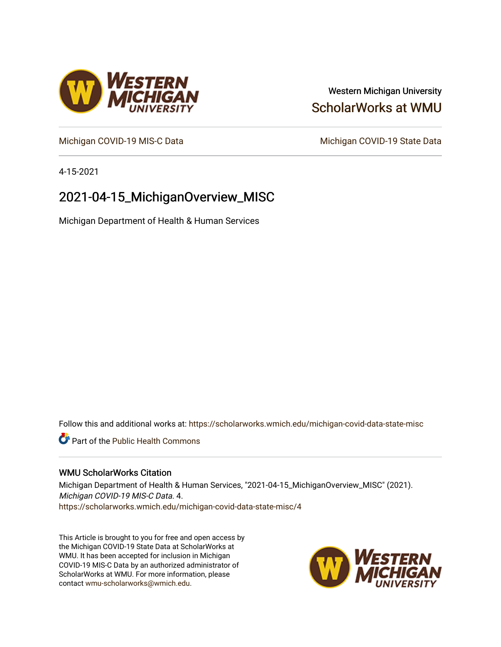## Western Michigan University [ScholarWorks at WMU](https://scholarworks.wmich.edu/)

[Michigan COVID-19 MIS-C Data](https://scholarworks.wmich.edu/michigan-covid-data-state-misc) Michigan COVID-19 State Data

4-15-2021

# 2021-04-15\_MichiganOverview\_MISC

Michigan Department of Health & Human Services

Follow this and additional works at: [https://scholarworks.wmich.edu/michigan-covid-data-state-misc](https://scholarworks.wmich.edu/michigan-covid-data-state-misc?utm_source=scholarworks.wmich.edu%2Fmichigan-covid-data-state-misc%2F4&utm_medium=PDF&utm_campaign=PDFCoverPages) 

**Part of the Public Health Commons** 

#### WMU ScholarWorks Citation

Michigan Department of Health & Human Services, "2021-04-15\_MichiganOverview\_MISC" (2021). Michigan COVID-19 MIS-C Data. 4. [https://scholarworks.wmich.edu/michigan-covid-data-state-misc/4](https://scholarworks.wmich.edu/michigan-covid-data-state-misc/4?utm_source=scholarworks.wmich.edu%2Fmichigan-covid-data-state-misc%2F4&utm_medium=PDF&utm_campaign=PDFCoverPages) 

This Article is brought to you for free and open access by the Michigan COVID-19 State Data at ScholarWorks at WMU. It has been accepted for inclusion in Michigan COVID-19 MIS-C Data by an authorized administrator of ScholarWorks at WMU. For more information, please contact [wmu-scholarworks@wmich.edu](mailto:wmu-scholarworks@wmich.edu).



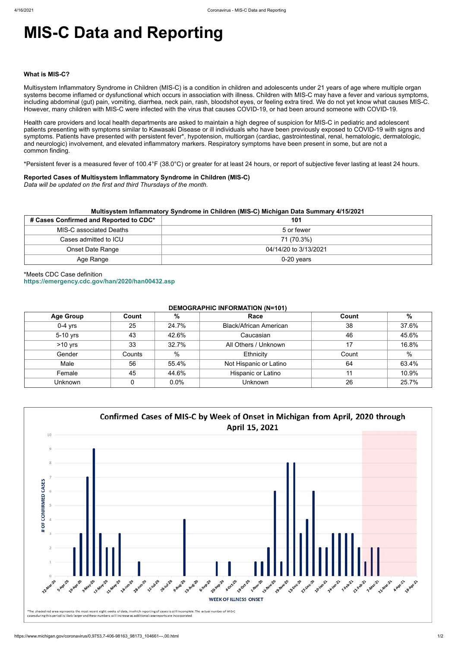# **MIS-C Data and Reporting**

#### **What is MIS-C?**

Multisystem Inflammatory Syndrome in Children (MIS-C) is a condition in children and adolescents under 21 years of age where multiple organ systems become inflamed or dysfunctional which occurs in association with illness. Children with MIS-C may have a fever and various symptoms, including abdominal (gut) pain, vomiting, diarrhea, neck pain, rash, bloodshot eyes, or feeling extra tired. We do not yet know what causes MIS-C. However, many children with MIS-C were infected with the virus that causes COVID-19, or had been around someone with COVID-19.

Health care providers and local health departments are asked to maintain a high degree of suspicion for MIS-C in pediatric and adolescent patients presenting with symptoms similar to Kawasaki Disease or ill individuals who have been previously exposed to COVID-19 with signs and symptoms. Patients have presented with persistent fever\*, hypotension, multiorgan (cardiac, gastrointestinal, renal, hematologic, dermatologic, and neurologic) involvement, and elevated inflammatory markers. Respiratory symptoms have been present in some, but are not a common finding.

\*Persistent fever is a measured fever of 100.4°F (38.0°C) or greater for at least 24 hours, or report of subjective fever lasting at least 24 hours.

#### **Reported Cases of Multisystem Inflammatory Syndrome in Children (MIS-C)**

*Data will be updated on the first and third Thursdays of the month.*

| Multisystem Inflammatory Syndrome in Children (MIS-C) Michigan Data Summary 4/15/2021 |                       |  |  |  |
|---------------------------------------------------------------------------------------|-----------------------|--|--|--|
| # Cases Confirmed and Reported to CDC*                                                | 101                   |  |  |  |
| MIS-C associated Deaths                                                               | 5 or fewer            |  |  |  |
| Cases admitted to ICU                                                                 | 71 (70.3%)            |  |  |  |
| <b>Onset Date Range</b>                                                               | 04/14/20 to 3/13/2021 |  |  |  |
| Age Range                                                                             | $0-20$ years          |  |  |  |

## \*Meets CDC Case definition **<https://emergency.cdc.gov/han/2020/han00432.asp>**

#### **DEMOGRAPHIC INFORMATION (N=101)**

| <b>Age Group</b> | Count  | %             | Race                          | Count | $\%$  |
|------------------|--------|---------------|-------------------------------|-------|-------|
| $0-4$ yrs        | 25     | 24.7%         | <b>Black/African American</b> | 38    | 37.6% |
| 5-10 yrs         | 43     | 42.6%         | Caucasian                     | 46    | 45.6% |
| $>10$ yrs        | 33     | 32.7%         | All Others / Unknown          | 17    | 16.8% |
| Gender           | Counts | $\frac{0}{0}$ | Ethnicity                     | Count | %     |
| Male             | 56     | 55.4%         | Not Hispanic or Latino        | 64    | 63.4% |
| Female           | 45     | 44.6%         | Hispanic or Latino            | 11    | 10.9% |
| Unknown          |        | 0.0%          | <b>Unknown</b>                | 26    | 25.7% |